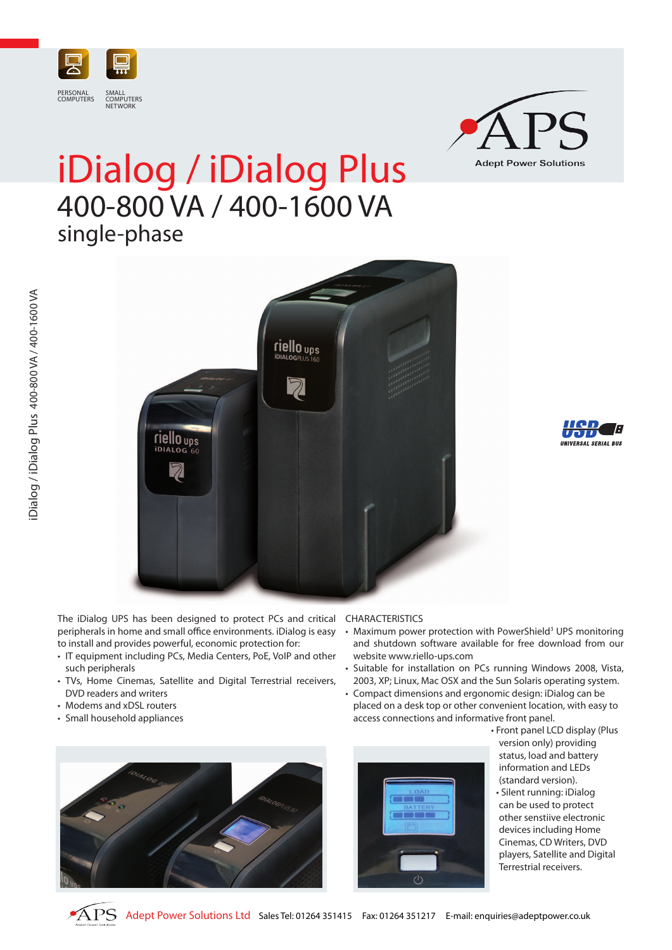



## iDialog / iDialog Plus 400-800 VA / 400-1600 VA single-phase



The iDialog UPS has been designed to protect PCs and critical peripherals in home and small office environments. iDialog is easy to install and provides powerful, economic protection for:

- IT equipment including PCs, Media Centers, PoE, VoIP and other such peripherals
- TVs, Home Cinemas, Satellite and Digital Terrestrial receivers, DVD readers and writers
- Modems and xDSL routers
- Small household appliances



- Maximum power protection with PowerShield<sup>3</sup> UPS monitoring and shutdown software available for free download from our website www.riello-ups.com
- Suitable for installation on PCs running Windows 2008, Vista, 2003, XP; Linux, Mac OSX and the Sun Solaris operating system.
- Compact dimensions and ergonomic design: iDialog can be placed on a desk top or other convenient location, with easy to access connections and informative front panel.





• Front panel LCD display (Plus version only) providing status, load and battery information and LEDs (standard version). • Silent running: iDialog can be used to protect other senstiive electronic devices including Home Cinemas, CD Writers, DVD players, Satellite and Digital Terrestrial receivers.